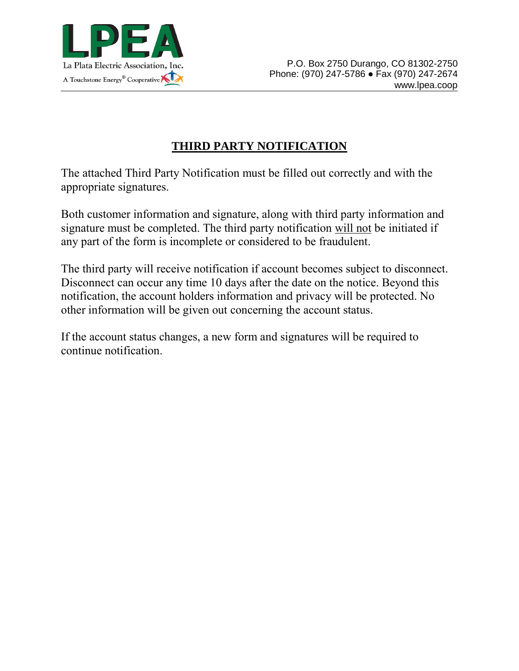

## **THIRD PARTY NOTIFICATION**

The attached Third Party Notification must be filled out correctly and with the appropriate signatures.

Both customer information and signature, along with third party information and signature must be completed. The third party notification will not be initiated if any part of the form is incomplete or considered to be fraudulent.

The third party will receive notification if account becomes subject to disconnect. Disconnect can occur any time 10 days after the date on the notice. Beyond this notification, the account holders information and privacy will be protected. No other information will be given out concerning the account status.

If the account status changes, a new form and signatures will be required to continue notification.